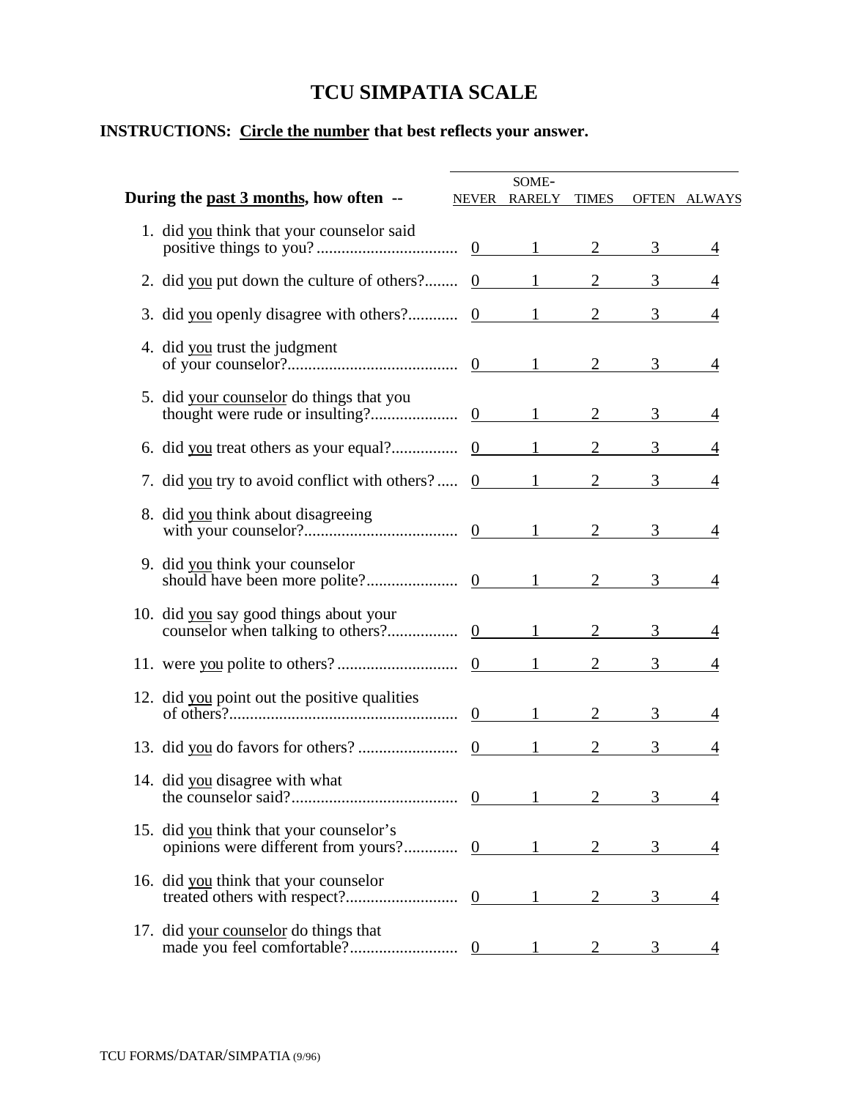## **TCU SIMPATIA SCALE**

## **INSTRUCTIONS: Circle the number that best reflects your answer.**

| During the past 3 months, how often --                           | SOME-<br>NEVER RARELY TIMES |                |                     |                |
|------------------------------------------------------------------|-----------------------------|----------------|---------------------|----------------|
|                                                                  |                             |                |                     | OFTEN ALWAYS   |
| 1. did you think that your counselor said                        |                             |                |                     | 4              |
| 2. did you put down the culture of others? $0 \t 1 \t 2 \t 3$    |                             |                |                     | 4              |
| 3. did you openly disagree with others? $0 \t 1 \t 2 \t 3$       |                             |                |                     | $\overline{4}$ |
| 4. did you trust the judgment                                    |                             |                |                     | 4              |
| 5. did your counselor do things that you                         |                             |                |                     | $\overline{4}$ |
|                                                                  |                             |                | 3                   |                |
| 7. did you try to avoid conflict with others? $0 \t 1 \t 2 \t 3$ |                             |                |                     | 4              |
| 8. did you think about disagreeing                               |                             |                |                     | 4              |
| 9. did you think your counselor                                  |                             |                |                     | 4              |
| 10. did you say good things about your                           |                             |                |                     | $\overline{4}$ |
|                                                                  |                             |                | $3$ <sub>____</sub> |                |
| 12. did you point out the positive qualities                     |                             |                | 3 <sup>7</sup>      | 4              |
|                                                                  |                             |                | 3 <sup>7</sup>      | 4              |
| 14. did you disagree with what                                   | $0 \qquad \qquad 1$         | $\overline{2}$ | 3 <sup>7</sup>      | 4              |
| 15. did you think that your counselor's                          |                             |                | 3 <sup>7</sup>      | 4              |
| 16. did you think that your counselor                            |                             | $\overline{2}$ | $\mathfrak{Z}$      | 4              |
| 17. did your counselor do things that                            |                             |                | 3                   |                |